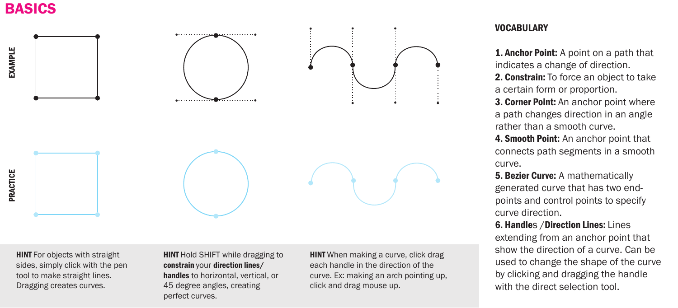## BASICS



**HINT** For objects with straight sides, simply click with the pen tool to make straight lines. Dragging creates curves.

## **HINT** Hold SHIFT while dragging to constrain your direction lines/ handles to horizontal, vertical, or 45 degree angles, creating perfect curves.

**HINT** When making a curve, click drag each handle in the direction of the curve. Ex: making an arch pointing up, click and drag mouse up.

## **VOCABULARY**

**1. Anchor Point:** A point on a path that indicates a change of direction. 2. Constrain: To force an object to take a certain form or proportion.

3. Corner Point: An anchor point where a path changes direction in an angle rather than a smooth curve.

4. **Smooth Point:** An anchor point that connects path segments in a smooth curve.

**5. Bezier Curve:** A mathematically generated curve that has two endpoints and control points to specify curve direction.

6. Handles /Direction Lines: Lines extending from an anchor point that show the direction of a curve. Can be used to change the shape of the curve by clicking and dragging the handle with the direct selection tool.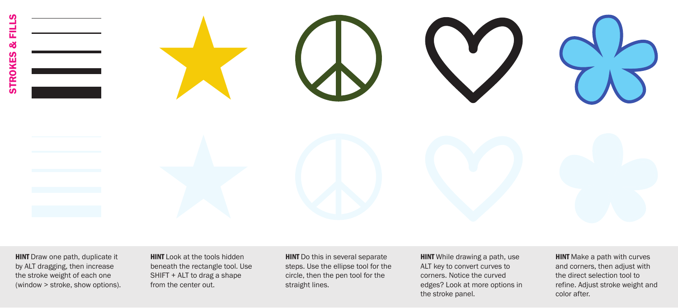STROKES & FILLS릁 œ **STROKES** 

> **HINT** Draw one path, duplicate it by ALT dragging, then increase the stroke weight of each one (window > stroke, show options).

**HINT** Look at the tools hidden beneath the rectangle tool. Use SHIFT + ALT to drag a shape from the center out.

**HINT** Do this in several separate steps. Use the ellipse tool for the circle, then the pen tool for the straight lines.

**HINT** While drawing a path, use ALT key to convert curves to corners. Notice the curved edges? Look at more options in the stroke panel.

**HINT** Make a path with curves and corners, then adjust with the direct selection tool to refine. Adjust stroke weight and color after.